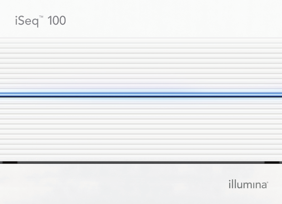### iSeq<sup>™</sup> 100

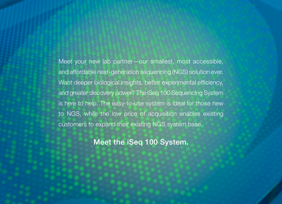Meet your new lab partner—our smallest, most accessible, and affordable next-generation sequencing (NGS) solution ever. Want deeper biological insights, better experimental efficiency, and greater discovery power? The iSeq 100 Sequencing System is here to help. The easy-to-use system is ideal for those new to NGS, while the low price of acquisition enables existing customers to expand their existing NGS system base.

Meet the iSeq 100 System.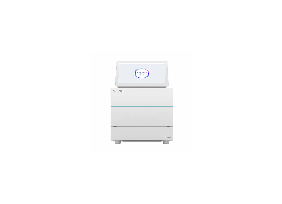|  | illumina |
|--|----------|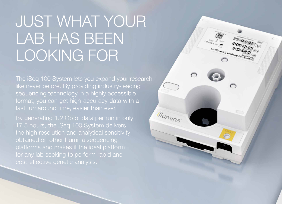# JUST WHAT YOUR LAB HAS BEEN LOOKING FOR

IN WIN WIND

illumina<sup>.</sup>

The iSeq 100 System lets you expand your research like never before. By providing industry-leading sequencing technology in a highly accessible format, you can get high-accuracy data with a fast turnaround time, easier than ever.

By generating 1.2 Gb of data per run in only the high resolution and analytical sensitivity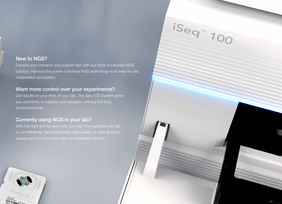# *iSeq<sup>"</sup>* 100

#### New to NGS?

Expand your research and publish fast with our most accessible NGS solution. Harness the power of Illumina NGS technology in an easy-to-use, inexpensive ecosystem.

#### Want more control over your experiments?

Get results on your time, in your lab. The iSeq 100 System gives you autonomy to expand your research, without the long turnaround time.

#### Currently using NGS in your lab?

With the right tool for every job, you can now optimize your lab sequencers in a low-cost, easy-to-implement system.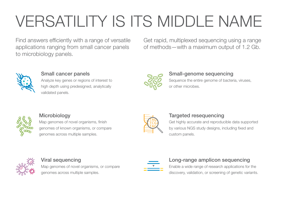# VERSATILITY IS ITS MIDDLE NAME

Find answers efficiently with a range of versatile applications ranging from small cancer panels to microbiology panels.

Get rapid, multiplexed sequencing using a range of methods—with a maximum output of 1.2 Gb.



#### Small cancer panels

Analyze key genes or regions of interest to high depth using predesigned, analytically validated panels.



#### Small-genome sequencing

Sequence the entire genome of bacteria, viruses, or other microbes.



#### **Microbiology**

Map genomes of novel organisms, finish genomes of known organisms, or compare genomes across multiple samples.



#### Targeted resequencing

Get highly accurate and reproducible data supported by various NGS study designs, including fixed and custom panels.



#### Viral sequencing

Map genomes of novel organisms, or compare genomes across multiple samples.



#### Long-range amplicon sequencing

Enable a wide range of research applications for the discovery, validation, or screening of genetic variants.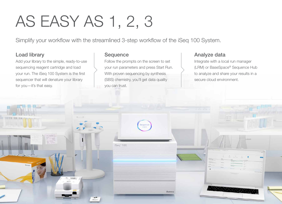# AS EASY AS 1, 2, 3

Simplify your workflow with the streamlined 3-step workflow of the iSeq 100 System.

#### Load library

Add your library to the simple, ready-to-use sequencing reagent cartridge and load your run. The iSeq 100 System is the first sequencer that will denature your library for you—it's that easy.

#### **Sequence**

iSeq" 100

Follow the prompts on the screen to set your run parameters and press Start Run. With proven sequencing by synthesis (SBS) chemistry, you'll get data quality you can trust.

Sequeno<br>M

illumin

#### Analyze data

Integrate with a local run manager (LRM) or BaseSpace® Sequence Hub to analyze and share your results in a secure cloud environment.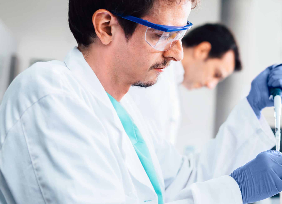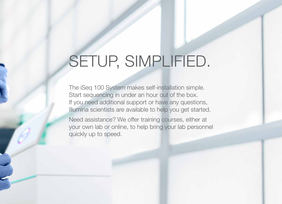## SETUP, SIMPLIFIED.

The iSeq 100 System makes self-installation simple. Start sequencing in under an hour out of the box. If you need additional support or have any questions, Illumina scientists are available to help you get started.

Need assistance? We offer training courses, either at your own lab or online, to help bring your lab personnel quickly up to speed.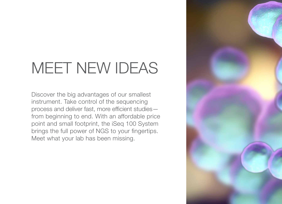# MEET NEW IDEAS

Discover the big advantages of our smallest instrument. Take control of the sequencing process and deliver fast, more efficient studies from beginning to end. With an affordable price point and small footprint, the iSeq 100 System brings the full power of NGS to your fingertips. Meet what your lab has been missing.

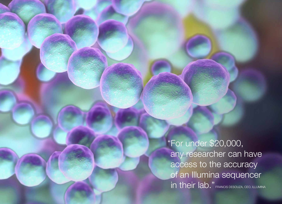"For under \$20,000, any researcher can have access to the accuracy of an Illumina sequencer In their lab." FRANCIS DESOUZA, CEO, ILLUMINA